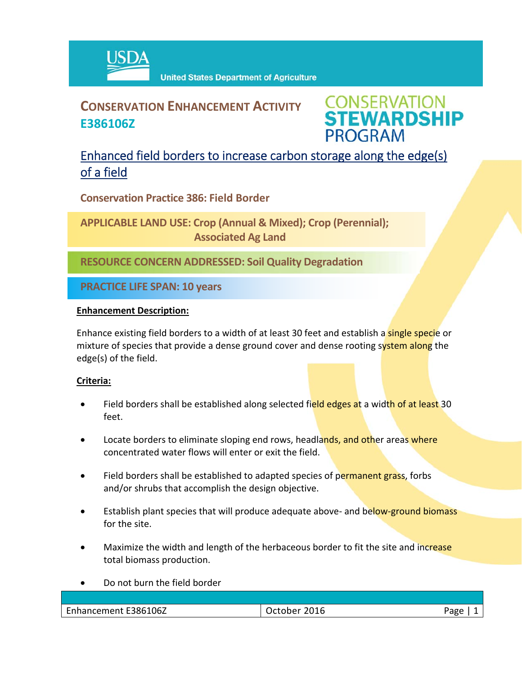

# **CONSERVATION ENHANCEMENT ACTIVITY E386106Z**

**CONSERVATION<br>STEWARDSHIP PROGRAM** 

## Enhanced field borders to increase carbon storage along the edge(s) of a field

**Conservation Practice 386: Field Border**

**APPLICABLE LAND USE: Crop (Annual & Mixed); Crop (Perennial); Associated Ag Land**

**RESOURCE CONCERN ADDRESSED: Soil Quality Degradation**

**PRACTICE LIFE SPAN: 10 years**

#### **Enhancement Description:**

Enhance existing field borders to a width of at least 30 feet and establish a **single speci**e or mixture of species that provide a dense ground cover and dense rooting system along the edge(s) of the field.

### **Criteria:**

- Field borders shall be established along selected field edges at a width of at least 30 feet.
- Locate borders to eliminate sloping end rows, headlands, and other areas where concentrated water flows will enter or exit the field.
- Field borders shall be established to adapted species of permanent grass, forbs and/or shrubs that accomplish the design objective.
- Establish plant species that will produce adequate above- and below-ground biomass for the site.
- Maximize the width and length of the herbaceous border to fit the site and increase total biomass production.
- Do not burn the field border

| Enhancement E386106Z | October 2016 | Page |
|----------------------|--------------|------|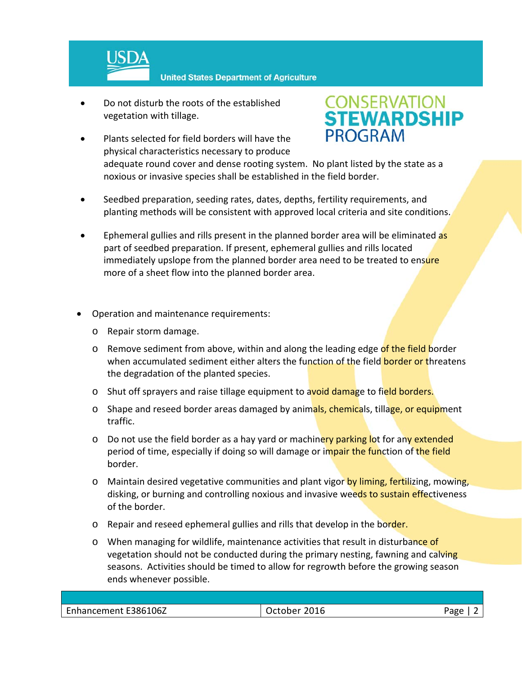

 Do not disturb the roots of the established vegetation with tillage.



- Plants selected for field borders will have the physical characteristics necessary to produce adequate round cover and dense rooting system. No plant listed by the state as a noxious or invasive species shall be established in the field border.
- Seedbed preparation, seeding rates, dates, depths, fertility requirements, and planting methods will be consistent with approved local criteria and site conditions.
- Ephemeral gullies and rills present in the planned border area will be eliminated as part of seedbed preparation. If present, ephemeral gullies and rills located immediately upslope from the planned border area need to be treated to ensure more of a sheet flow into the planned border area.
- Operation and maintenance requirements:
	- o Repair storm damage.
	- o Remove sediment from above, within and along the leading edge of the field border when accumulated sediment either alters the function of the field border or threatens the degradation of the planted species.
	- o Shut off sprayers and raise tillage equipment to avoid damage to field borders.
	- o Shape and reseed border areas damaged by animals, chemicals, tillage, or equipment traffic.
	- o Do not use the field border as a hay yard or machinery parking lot for any extended period of time, especially if doing so will damage or impair the function of the field border.
	- o Maintain desired vegetative communities and plant vigor by liming, fertilizing, mowing, disking, or burning and controlling noxious and invasive weeds to sustain effectiveness of the border.
	- o Repair and reseed ephemeral gullies and rills that develop in the border.
	- o When managing for wildlife, maintenance activities that result in disturbance of vegetation should not be conducted during the primary nesting, fawning and calving seasons. Activities should be timed to allow for regrowth before the growing season ends whenever possible.

| Enhancement E386106Z | 2016<br><b>October</b> | app |
|----------------------|------------------------|-----|